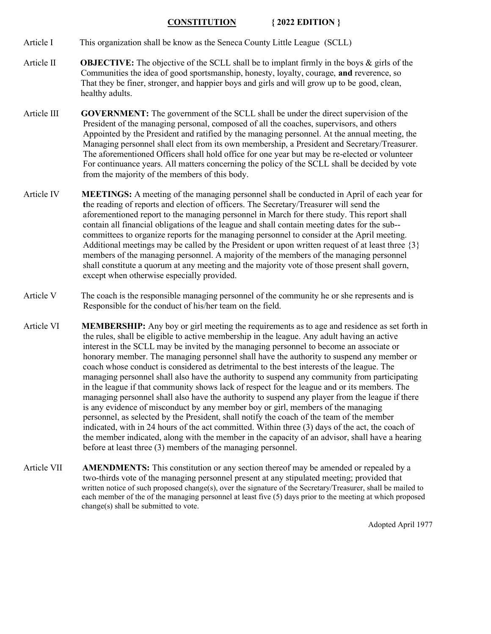## CONSTITUTION { 2022 EDITION }

Article I This organization shall be know as the Seneca County Little League (SCLL)

- Article II **OBJECTIVE:** The objective of the SCLL shall be to implant firmly in the boys  $\&$  girls of the Communities the idea of good sportsmanship, honesty, loyalty, courage, and reverence, so That they be finer, stronger, and happier boys and girls and will grow up to be good, clean, healthy adults.
- Article III GOVERNMENT: The government of the SCLL shall be under the direct supervision of the President of the managing personal, composed of all the coaches, supervisors, and others Appointed by the President and ratified by the managing personnel. At the annual meeting, the Managing personnel shall elect from its own membership, a President and Secretary/Treasurer. The aforementioned Officers shall hold office for one year but may be re-elected or volunteer For continuance years. All matters concerning the policy of the SCLL shall be decided by vote from the majority of the members of this body.
- Article IV MEETINGS: A meeting of the managing personnel shall be conducted in April of each year for the reading of reports and election of officers. The Secretary/Treasurer will send the aforementioned report to the managing personnel in March for there study. This report shall contain all financial obligations of the league and shall contain meeting dates for the sub- committees to organize reports for the managing personnel to consider at the April meeting. Additional meetings may be called by the President or upon written request of at least three {3} members of the managing personnel. A majority of the members of the managing personnel shall constitute a quorum at any meeting and the majority vote of those present shall govern, except when otherwise especially provided.
- Article V The coach is the responsible managing personnel of the community he or she represents and is Responsible for the conduct of his/her team on the field.
- Article VI MEMBERSHIP: Any boy or girl meeting the requirements as to age and residence as set forth in the rules, shall be eligible to active membership in the league. Any adult having an active interest in the SCLL may be invited by the managing personnel to become an associate or honorary member. The managing personnel shall have the authority to suspend any member or coach whose conduct is considered as detrimental to the best interests of the league. The managing personnel shall also have the authority to suspend any community from participating in the league if that community shows lack of respect for the league and or its members. The managing personnel shall also have the authority to suspend any player from the league if there is any evidence of misconduct by any member boy or girl, members of the managing personnel, as selected by the President, shall notify the coach of the team of the member indicated, with in 24 hours of the act committed. Within three (3) days of the act, the coach of the member indicated, along with the member in the capacity of an advisor, shall have a hearing before at least three (3) members of the managing personnel.
- Article VII AMENDMENTS: This constitution or any section thereof may be amended or repealed by a two-thirds vote of the managing personnel present at any stipulated meeting; provided that written notice of such proposed change(s), over the signature of the Secretary/Treasurer, shall be mailed to each member of the of the managing personnel at least five (5) days prior to the meeting at which proposed change(s) shall be submitted to vote.

Adopted April 1977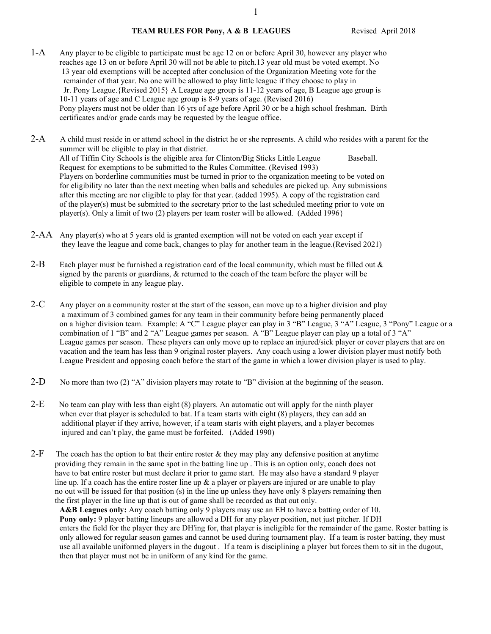### TEAM RULES FOR Pony, A & B LEAGUES Revised April 2018

- 1-A Any player to be eligible to participate must be age 12 on or before April 30, however any player who reaches age 13 on or before April 30 will not be able to pitch.13 year old must be voted exempt. No 13 year old exemptions will be accepted after conclusion of the Organization Meeting vote for the remainder of that year. No one will be allowed to play little league if they choose to play in Jr. Pony League.{Revised 2015} A League age group is 11-12 years of age, B League age group is 10-11 years of age and C League age group is 8-9 years of age. (Revised 2016) Pony players must not be older than 16 yrs of age before April 30 or be a high school freshman. Birth certificates and/or grade cards may be requested by the league office.
- 2-A A child must reside in or attend school in the district he or she represents. A child who resides with a parent for the summer will be eligible to play in that district. All of Tiffin City Schools is the eligible area for Clinton/Big Sticks Little League Baseball. Request for exemptions to be submitted to the Rules Committee. (Revised 1993) Players on borderline communities must be turned in prior to the organization meeting to be voted on for eligibility no later than the next meeting when balls and schedules are picked up. Any submissions after this meeting are nor eligible to play for that year. (added 1995). A copy of the registration card of the player(s) must be submitted to the secretary prior to the last scheduled meeting prior to vote on player(s). Only a limit of two (2) players per team roster will be allowed. (Added 1996}
- 2-AA Any player(s) who at 5 years old is granted exemption will not be voted on each year except if they leave the league and come back, changes to play for another team in the league.(Revised 2021)
- 2-B Each player must be furnished a registration card of the local community, which must be filled out  $\&$  signed by the parents or guardians, & returned to the coach of the team before the player will be eligible to compete in any league play.
- 2-C Any player on a community roster at the start of the season, can move up to a higher division and play a maximum of 3 combined games for any team in their community before being permanently placed on a higher division team. Example: A "C" League player can play in 3 "B" League, 3 "A" League, 3 "Pony" League or a combination of 1 "B" and 2 "A" League games per season. A "B" League player can play up a total of 3 "A" League games per season. These players can only move up to replace an injured/sick player or cover players that are on vacation and the team has less than 9 original roster players. Any coach using a lower division player must notify both League President and opposing coach before the start of the game in which a lower division player is used to play.
- 2-D No more than two (2) "A" division players may rotate to "B" division at the beginning of the season.
- 2-E No team can play with less than eight (8) players. An automatic out will apply for the ninth player when ever that player is scheduled to bat. If a team starts with eight (8) players, they can add an additional player if they arrive, however, if a team starts with eight players, and a player becomes injured and can't play, the game must be forfeited. (Added 1990)
- 2-F The coach has the option to bat their entire roster  $\&$  they may play any defensive position at anytime providing they remain in the same spot in the batting line up . This is an option only, coach does not have to bat entire roster but must declare it prior to game start. He may also have a standard 9 player line up. If a coach has the entire roster line up  $\&$  a player or players are injured or are unable to play no out will be issued for that position (s) in the line up unless they have only 8 players remaining then the first player in the line up that is out of game shall be recorded as that out only.

A&B Leagues only: Any coach batting only 9 players may use an EH to have a batting order of 10. Pony only: 9 player batting lineups are allowed a DH for any player position, not just pitcher. If DH enters the field for the player they are DH'ing for, that player is ineligible for the remainder of the game. Roster batting is only allowed for regular season games and cannot be used during tournament play. If a team is roster batting, they must use all available uniformed players in the dugout . If a team is disciplining a player but forces them to sit in the dugout, then that player must not be in uniform of any kind for the game.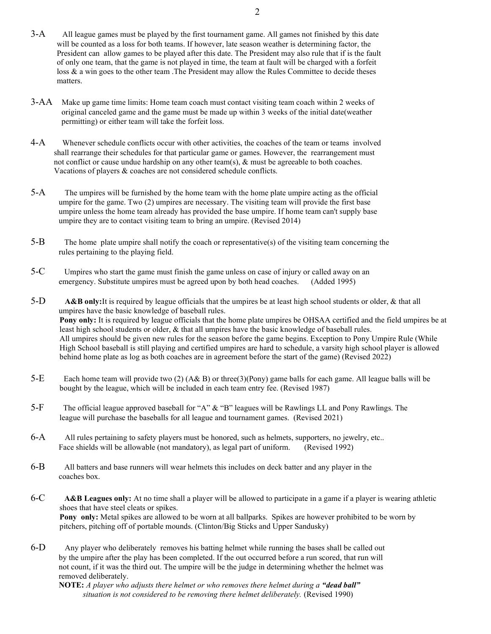- 3-A All league games must be played by the first tournament game. All games not finished by this date will be counted as a loss for both teams. If however, late season weather is determining factor, the President can allow games to be played after this date. The President may also rule that if is the fault of only one team, that the game is not played in time, the team at fault will be charged with a forfeit loss & a win goes to the other team .The President may allow the Rules Committee to decide theses matters.
- 3-AA Make up game time limits: Home team coach must contact visiting team coach within 2 weeks of original canceled game and the game must be made up within 3 weeks of the initial date(weather permitting) or either team will take the forfeit loss.
- 4-A Whenever schedule conflicts occur with other activities, the coaches of the team or teams involved shall rearrange their schedules for that particular game or games. However, the rearrangement must not conflict or cause undue hardship on any other team(s),  $\&$  must be agreeable to both coaches. Vacations of players & coaches are not considered schedule conflicts.
- 5-A The umpires will be furnished by the home team with the home plate umpire acting as the official umpire for the game. Two (2) umpires are necessary. The visiting team will provide the first base umpire unless the home team already has provided the base umpire. If home team can't supply base umpire they are to contact visiting team to bring an umpire. (Revised 2014)
- $5-B$  The home plate umpire shall notify the coach or representative(s) of the visiting team concerning the rules pertaining to the playing field.
- 5-C Umpires who start the game must finish the game unless on case of injury or called away on an emergency. Substitute umpires must be agreed upon by both head coaches. (Added 1995)
- 5-D A&B only: It is required by league officials that the umpires be at least high school students or older, & that all umpires have the basic knowledge of baseball rules. Pony only: It is required by league officials that the home plate umpires be OHSAA certified and the field umpires be at least high school students or older, & that all umpires have the basic knowledge of baseball rules. All umpires should be given new rules for the season before the game begins. Exception to Pony Umpire Rule (While High School baseball is still playing and certified umpires are hard to schedule, a varsity high school player is allowed behind home plate as log as both coaches are in agreement before the start of the game) (Revised 2022)
- 5-E Each home team will provide two (2) (A& B) or three(3)(Pony) game balls for each game. All league balls will be bought by the league, which will be included in each team entry fee. (Revised 1987)
- 5-F The official league approved baseball for "A"  $\&$  "B" leagues will be Rawlings LL and Pony Rawlings. The league will purchase the baseballs for all league and tournament games. (Revised 2021)
- 6-A All rules pertaining to safety players must be honored, such as helmets, supporters, no jewelry, etc.. Face shields will be allowable (not mandatory), as legal part of uniform. (Revised 1992)
- 6-B All batters and base runners will wear helmets this includes on deck batter and any player in the coaches box.
- $6-C$  A&B Leagues only: At no time shall a player will be allowed to participate in a game if a player is wearing athletic shoes that have steel cleats or spikes. Pony only: Metal spikes are allowed to be worn at all ballparks. Spikes are however prohibited to be worn by pitchers, pitching off of portable mounds. (Clinton/Big Sticks and Upper Sandusky)
- 6-D Any player who deliberately removes his batting helmet while running the bases shall be called out by the umpire after the play has been completed. If the out occurred before a run scored, that run will not count, if it was the third out. The umpire will be the judge in determining whether the helmet was removed deliberately.

**NOTE:** A player who adjusts there helmet or who removes there helmet during a "dead ball" situation is not considered to be removing there helmet deliberately. (Revised 1990)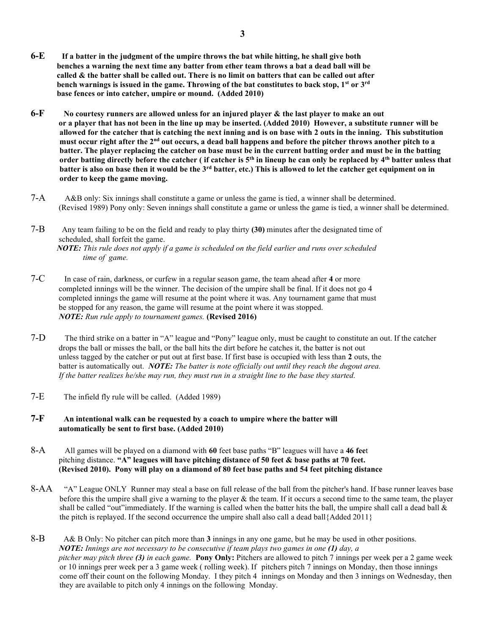- 6-E If a batter in the judgment of the umpire throws the bat while hitting, he shall give both benches a warning the next time any batter from ether team throws a bat a dead ball will be called & the batter shall be called out. There is no limit on batters that can be called out after bench warnings is issued in the game. Throwing of the bat constitutes to back stop,  $1^{st}$  or  $3^{rd}$ base fences or into catcher, umpire or mound. (Added 2010)
- $6-F$  No courtesy runners are allowed unless for an injured player & the last player to make an out or a player that has not been in the line up may be inserted. (Added 2010) However, a substitute runner will be allowed for the catcher that is catching the next inning and is on base with 2 outs in the inning. This substitution must occur right after the 2nd out occurs, a dead ball happens and before the pitcher throws another pitch to a batter. The player replacing the catcher on base must be in the current batting order and must be in the batting order batting directly before the catcher ( if catcher is 5<sup>th</sup> in lineup he can only be replaced by 4<sup>th</sup> batter unless that batter is also on base then it would be the  $3<sup>rd</sup>$  batter, etc.) This is allowed to let the catcher get equipment on in order to keep the game moving.
- 7-A A&B only: Six innings shall constitute a game or unless the game is tied, a winner shall be determined. (Revised 1989) Pony only: Seven innings shall constitute a game or unless the game is tied, a winner shall be determined.

 $7-\text{B}$  Any team failing to be on the field and ready to play thirty (30) minutes after the designated time of scheduled, shall forfeit the game. NOTE: This rule does not apply if a game is scheduled on the field earlier and runs over scheduled time of game.

- 7-C In case of rain, darkness, or curfew in a regular season game, the team ahead after 4 or more completed innings will be the winner. The decision of the umpire shall be final. If it does not go 4 completed innings the game will resume at the point where it was. Any tournament game that must be stopped for any reason, the game will resume at the point where it was stopped. NOTE: Run rule apply to tournament games. (Revised 2016)
- 7-D The third strike on a batter in "A" league and "Pony" league only, must be caught to constitute an out. If the catcher drops the ball or misses the ball, or the ball hits the dirt before he catches it, the batter is not out unless tagged by the catcher or put out at first base. If first base is occupied with less than 2 outs, the batter is automatically out. NOTE: The batter is note officially out until they reach the dugout area. If the batter realizes he/she may run, they must run in a straight line to the base they started.
- 7-E The infield fly rule will be called. (Added 1989)

## $7-F$  An intentional walk can be requested by a coach to umpire where the batter will automatically be sent to first base. (Added 2010)

- 8-A All games will be played on a diamond with 60 feet base paths "B" leagues will have a 46 feet pitching distance. "A" leagues will have pitching distance of 50 feet  $\&$  base paths at 70 feet. (Revised 2010). Pony will play on a diamond of 80 feet base paths and 54 feet pitching distance
- 8-AA "A" League ONLY Runner may steal a base on full release of the ball from the pitcher's hand. If base runner leaves base before this the umpire shall give a warning to the player  $\&$  the team. If it occurs a second time to the same team, the player shall be called "out"immediately. If the warning is called when the batter hits the ball, the umpire shall call a dead ball  $\&$ the pitch is replayed. If the second occurrence the umpire shall also call a dead ball ${A}$ dded 2011 $}$
- $8-B$  A& B Only: No pitcher can pitch more than 3 innings in any one game, but he may be used in other positions. **NOTE:** Innings are not necessary to be consecutive if team plays two games in one  $(1)$  day, a pitcher may pitch three (3) in each game. Pony Only: Pitchers are allowed to pitch 7 innings per week per a 2 game week or 10 innings prer week per a 3 game week ( rolling week). If pitchers pitch 7 innings on Monday, then those innings come off their count on the following Monday. I they pitch 4 innings on Monday and then 3 innings on Wednesday, then they are available to pitch only 4 innings on the following Monday.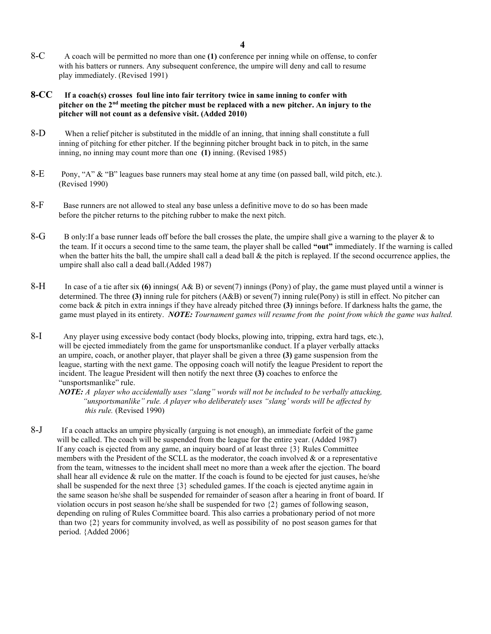- 8-C A coach will be permitted no more than one (1) conference per inning while on offense, to confer with his batters or runners. Any subsequent conference, the umpire will deny and call to resume play immediately. (Revised 1991)
- 8-CC If a coach(s) crosses foul line into fair territory twice in same inning to confer with pitcher on the  $2<sup>nd</sup>$  meeting the pitcher must be replaced with a new pitcher. An injury to the pitcher will not count as a defensive visit. (Added 2010)
- 8-D When a relief pitcher is substituted in the middle of an inning, that inning shall constitute a full inning of pitching for ether pitcher. If the beginning pitcher brought back in to pitch, in the same inning, no inning may count more than one (1) inning. (Revised 1985)
- 8-E Pony, "A" & "B" leagues base runners may steal home at any time (on passed ball, wild pitch, etc.). (Revised 1990)
- 8-F Base runners are not allowed to steal any base unless a definitive move to do so has been made before the pitcher returns to the pitching rubber to make the next pitch.
- 8-G B only: If a base runner leads off before the ball crosses the plate, the umpire shall give a warning to the player  $\&$  to the team. If it occurs a second time to the same team, the player shall be called "out" immediately. If the warning is called when the batter hits the ball, the umpire shall call a dead ball  $\&$  the pitch is replayed. If the second occurrence applies, the umpire shall also call a dead ball.(Added 1987)
- 8-H In case of a tie after six (6) innings( $A\& B$ ) or seven(7) innings (Pony) of play, the game must played until a winner is determined. The three (3) inning rule for pitchers  $(A&B)$  or seven(7) inning rule(Pony) is still in effect. No pitcher can come back  $\&$  pitch in extra innings if they have already pitched three (3) innings before. If darkness halts the game, the game must played in its entirety. NOTE: Tournament games will resume from the point from which the game was halted.
- 8-I Any player using excessive body contact (body blocks, plowing into, tripping, extra hard tags, etc.), will be ejected immediately from the game for unsportsmanlike conduct. If a player verbally attacks an umpire, coach, or another player, that player shall be given a three  $(3)$  game suspension from the league, starting with the next game. The opposing coach will notify the league President to report the incident. The league President will then notify the next three (3) coaches to enforce the "unsportsmanlike" rule.

**NOTE:** A player who accidentally uses "slang" words will not be included to be verbally attacking, "unsportsmanlike" rule. A player who deliberately uses "slang' words will be affected by this rule. (Revised 1990)

8-J If a coach attacks an umpire physically (arguing is not enough), an immediate forfeit of the game will be called. The coach will be suspended from the league for the entire year. (Added 1987) If any coach is ejected from any game, an inquiry board of at least three {3} Rules Committee members with the President of the SCLL as the moderator, the coach involved & or a representative from the team, witnesses to the incident shall meet no more than a week after the ejection. The board shall hear all evidence  $&$  rule on the matter. If the coach is found to be ejected for just causes, he/she shall be suspended for the next three  $\{3\}$  scheduled games. If the coach is ejected anytime again in the same season he/she shall be suspended for remainder of season after a hearing in front of board. If violation occurs in post season he/she shall be suspended for two  $\{2\}$  games of following season, depending on ruling of Rules Committee board. This also carries a probationary period of not more than two {2} years for community involved, as well as possibility of no post season games for that period. {Added 2006}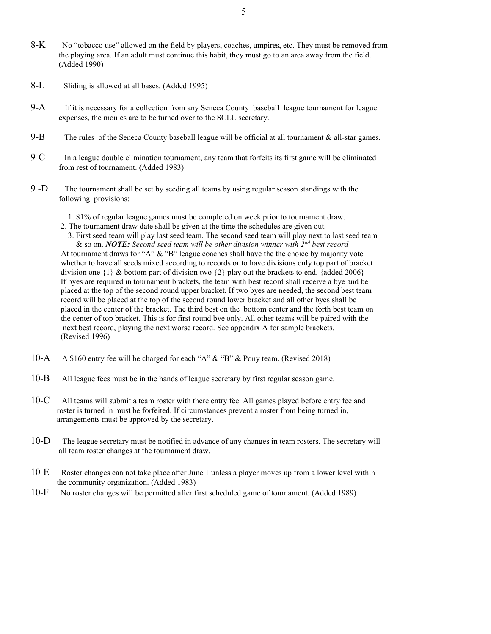- 8-K No "tobacco use" allowed on the field by players, coaches, umpires, etc. They must be removed from the playing area. If an adult must continue this habit, they must go to an area away from the field. (Added 1990)
- 8-L Sliding is allowed at all bases. (Added 1995)
- 9-A If it is necessary for a collection from any Seneca County baseball league tournament for league expenses, the monies are to be turned over to the SCLL secretary.
- 9-B The rules of the Seneca County baseball league will be official at all tournament  $\&$  all-star games.
- $9-C$  In a league double elimination tournament, any team that forfeits its first game will be eliminated from rest of tournament. (Added 1983)
- 9 -D The tournament shall be set by seeding all teams by using regular season standings with the following provisions:
	- 1. 81% of regular league games must be completed on week prior to tournament draw.
	- 2. The tournament draw date shall be given at the time the schedules are given out.
	- 3. First seed team will play last seed team. The second seed team will play next to last seed team & so on. NOTE: Second seed team will be other division winner with  $2^{nd}$  best record At tournament draws for "A" & "B" league coaches shall have the the choice by majority vote whether to have all seeds mixed according to records or to have divisions only top part of bracket division one  $\{1\}$  & bottom part of division two  $\{2\}$  play out the brackets to end. {added 2006} If byes are required in tournament brackets, the team with best record shall receive a bye and be placed at the top of the second round upper bracket. If two byes are needed, the second best team record will be placed at the top of the second round lower bracket and all other byes shall be placed in the center of the bracket. The third best on the bottom center and the forth best team on the center of top bracket. This is for first round bye only. All other teams will be paired with the next best record, playing the next worse record. See appendix A for sample brackets. (Revised 1996)
- 10-A A \$160 entry fee will be charged for each "A" & "B" & Pony team. (Revised 2018)
- 10-B All league fees must be in the hands of league secretary by first regular season game.
- 10-C All teams will submit a team roster with there entry fee. All games played before entry fee and roster is turned in must be forfeited. If circumstances prevent a roster from being turned in, arrangements must be approved by the secretary.
- 10-D The league secretary must be notified in advance of any changes in team rosters. The secretary will all team roster changes at the tournament draw.
- 10-E Roster changes can not take place after June 1 unless a player moves up from a lower level within the community organization. (Added 1983)
- 10-F No roster changes will be permitted after first scheduled game of tournament. (Added 1989)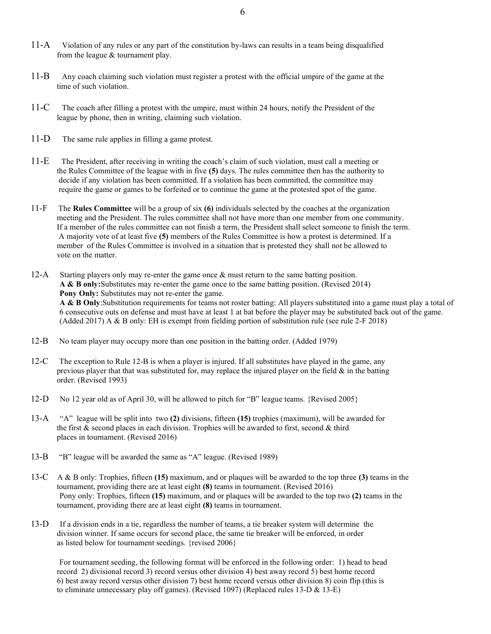- 11-A Violation of any rules or any part of the constitution by-laws can results in a team being disqualified from the league & tournament play.
- 11-B Any coach claiming such violation must register a protest with the official umpire of the game at the time of such violation.
- 11-C The coach after filling a protest with the umpire, must within 24 hours, notify the President of the league by phone, then in writing, claiming such violation.
- 11-D The same rule applies in filling a game protest.
- 11-E The President, after receiving in writing the coach's claim of such violation, must call a meeting or the Rules Committee of the league with in five (5) days. The rules committee then has the authority to decide if any violation has been committed. If a violation has been committed, the committee may require the game or games to be forfeited or to continue the game at the protested spot of the game.
- 11-F The Rules Committee will be a group of six (6) individuals selected by the coaches at the organization meeting and the President. The rules committee shall not have more than one member from one community. If a member of the rules committee can not finish a term, the President shall select someone to finish the term. A majority vote of at least five (5) members of the Rules Committee is how a protest is determined. If a member of the Rules Committee is involved in a situation that is protested they shall not be allowed to vote on the matter.
- 12-A Starting players only may re-enter the game once & must return to the same batting position. A & B only:Substitutes may re-enter the game once to the same batting position. (Revised 2014) Pony Only: Substitutes may not re-enter the game. A & B Only: Substitution requirements for teams not roster batting: All players substituted into a game must play a total of 6 consecutive outs on defense and must have at least 1 at bat before the player may be substituted back out of the game. (Added 2017) A & B only: EH is exempt from fielding portion of substitution rule (see rule 2-F 2018)
- 12-B No team player may occupy more than one position in the batting order. (Added 1979)
- 12-C The exception to Rule 12-B is when a player is injured. If all substitutes have played in the game, any previous player that that was substituted for, may replace the injured player on the field  $\&$  in the batting order. (Revised 1993)
- 12-D No 12 year old as of April 30, will be allowed to pitch for "B" league teams. {Revised 2005}
- 13-A "A" league will be split into two (2) divisions, fifteen (15) trophies (maximum), will be awarded for the first & second places in each division. Trophies will be awarded to first, second & third places in tournament. (Revised 2016)
- 13-B "B" league will be awarded the same as "A" league. (Revised 1989)
- 13-C A & B only: Trophies, fifteen (15) maximum, and or plaques will be awarded to the top three (3) teams in the tournament, providing there are at least eight (8) teams in tournament. (Revised 2016) Pony only: Trophies, fifteen (15) maximum, and or plaques will be awarded to the top two (2) teams in the tournament, providing there are at least eight (8) teams in tournament.
- 13-D If a division ends in a tie, regardless the number of teams, a tie breaker system will determine the division winner. If same occurs for second place, the same tie breaker will be enforced, in order as listed below for tournament seedings. {revised 2006}

 For tournament seeding, the following format will be enforced in the following order: 1) head to head record 2) divisional record 3) record versus other division 4) best away record 5) best home record 6) best away record versus other division 7) best home record versus other division 8) coin flip (this is to eliminate unnecessary play off games). (Revised 1097) (Replaced rules 13-D & 13-E)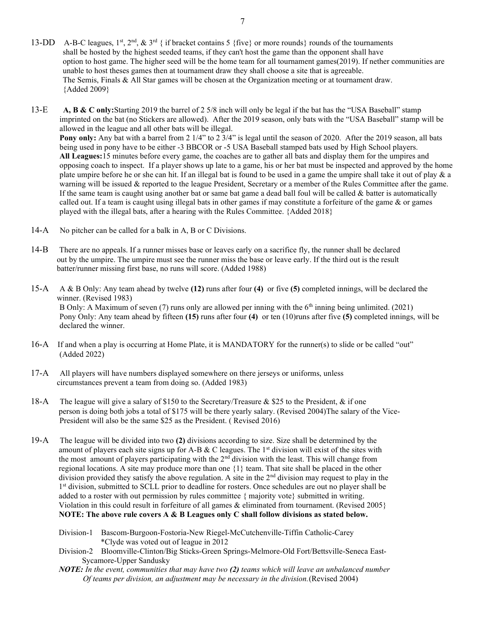- 13-DD A-B-C leagues,  $1^{st}$ ,  $2^{nd}$ ,  $\& 3^{rd}$  { if bracket contains 5 {five} or more rounds} rounds of the tournaments shall be hosted by the highest seeded teams, if they can't host the game than the opponent shall have option to host game. The higher seed will be the home team for all tournament games(2019). If nether communities are unable to host theses games then at tournament draw they shall choose a site that is agreeable. The Semis, Finals & All Star games will be chosen at the Organization meeting or at tournament draw. {Added 2009}
- 13-E A, B & C only: Starting 2019 the barrel of 2 5/8 inch will only be legal if the bat has the "USA Baseball" stamp imprinted on the bat (no Stickers are allowed). After the 2019 season, only bats with the "USA Baseball" stamp will be allowed in the league and all other bats will be illegal. Pony only: Any bat with a barrel from 2 1/4" to 2 3/4" is legal until the season of 2020. After the 2019 season, all bats being used in pony have to be either -3 BBCOR or -5 USA Baseball stamped bats used by High School players. All Leagues:15 minutes before every game, the coaches are to gather all bats and display them for the umpires and opposing coach to inspect. If a player shows up late to a game, his or her bat must be inspected and approved by the home plate umpire before he or she can hit. If an illegal bat is found to be used in a game the umpire shall take it out of play & a warning will be issued & reported to the league President, Secretary or a member of the Rules Committee after the game. If the same team is caught using another bat or same bat game a dead ball foul will be called  $\&$  batter is automatically called out. If a team is caught using illegal bats in other games if may constitute a forfeiture of the game  $\&$  or games played with the illegal bats, after a hearing with the Rules Committee. {Added 2018}
- 14-A No pitcher can be called for a balk in A, B or C Divisions.
- 14-B There are no appeals. If a runner misses base or leaves early on a sacrifice fly, the runner shall be declared out by the umpire. The umpire must see the runner miss the base or leave early. If the third out is the result batter/runner missing first base, no runs will score. (Added 1988)
- 15-A A & B Only: Any team ahead by twelve (12) runs after four (4) or five (5) completed innings, will be declared the winner. (Revised 1983) B Only: A Maximum of seven (7) runs only are allowed per inning with the  $6<sup>th</sup>$  inning being unlimited. (2021) Pony Only: Any team ahead by fifteen (15) runs after four (4) or ten (10)runs after five (5) completed innings, will be declared the winner.
- 16-A If and when a play is occurring at Home Plate, it is MANDATORY for the runner(s) to slide or be called "out" (Added 2022)
- 17-A All players will have numbers displayed somewhere on there jerseys or uniforms, unless circumstances prevent a team from doing so. (Added 1983)
- 18-A The league will give a salary of \$150 to the Secretary/Treasure & \$25 to the President, & if one person is doing both jobs a total of \$175 will be there yearly salary. (Revised 2004)The salary of the Vice- President will also be the same \$25 as the President. ( Revised 2016)
- 19-A The league will be divided into two (2) divisions according to size. Size shall be determined by the amount of players each site signs up for A-B & C leagues. The  $1<sup>st</sup>$  division will exist of the sites with the most amount of players participating with the 2<sup>nd</sup> division with the least. This will change from regional locations. A site may produce more than one {1} team. That site shall be placed in the other division provided they satisfy the above regulation. A site in the  $2<sup>nd</sup>$  division may request to play in the 1<sup>st</sup> division, submitted to SCLL prior to deadline for rosters. Once schedules are out no player shall be added to a roster with out permission by rules committee  $\{$  majority vote $\}$  submitted in writing. Violation in this could result in forfeiture of all games & eliminated from tournament. (Revised 2005} NOTE: The above rule covers  $A \& B$  Leagues only  $C$  shall follow divisions as stated below.
	- Division-1 Bascom-Burgoon-Fostoria-New Riegel-McCutchenville-Tiffin Catholic-Carey \*Clyde was voted out of league in 2012
	- Division-2 Bloomville-Clinton/Big Sticks-Green Springs-Melmore-Old Fort/Bettsville-Seneca East- Sycamore-Upper Sandusky
	- NOTE: In the event, communities that may have two (2) teams which will leave an unbalanced number Of teams per division, an adjustment may be necessary in the division.(Revised 2004)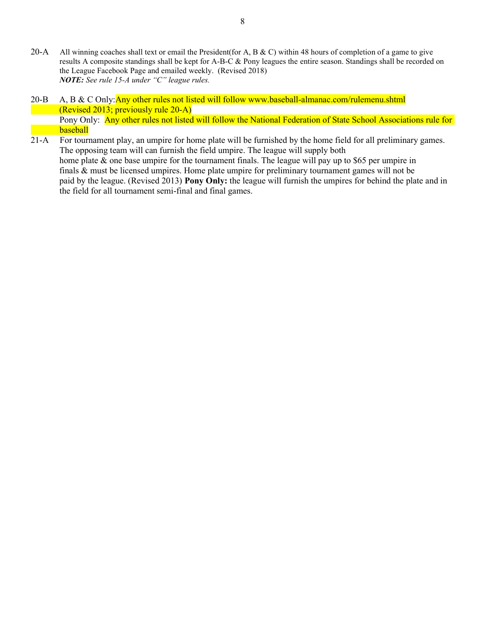- 20-A All winning coaches shall text or email the President(for A, B & C) within 48 hours of completion of a game to give results A composite standings shall be kept for A-B-C & Pony leagues the entire season. Standings shall be recorded on the League Facebook Page and emailed weekly. (Revised 2018) NOTE: See rule 15-A under "C" league rules.
- 20-B A, B & C Only: Any other rules not listed will follow www.baseball-almanac.com/rulemenu.shtml (Revised 2013; previously rule 20-A) Pony Only: Any other rules not listed will follow the National Federation of State School Associations rule for baseball
- 21-A For tournament play, an umpire for home plate will be furnished by the home field for all preliminary games. The opposing team will can furnish the field umpire. The league will supply both home plate & one base umpire for the tournament finals. The league will pay up to \$65 per umpire in finals & must be licensed umpires. Home plate umpire for preliminary tournament games will not be paid by the league. (Revised 2013) Pony Only: the league will furnish the umpires for behind the plate and in the field for all tournament semi-final and final games.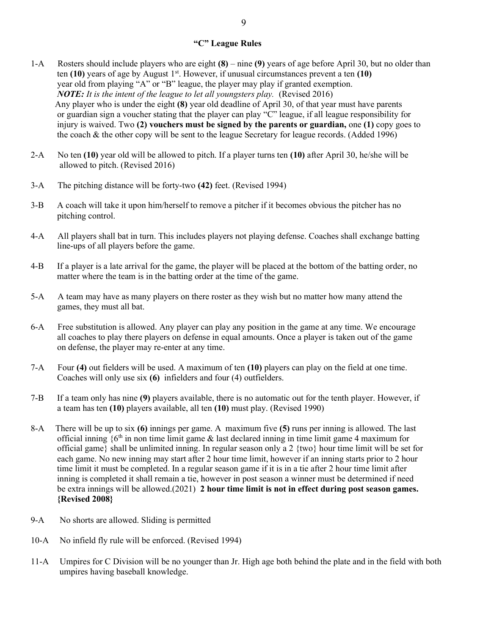- 1-A Rosters should include players who are eight  $(8)$  nine  $(9)$  years of age before April 30, but no older than ten  $(10)$  years of age by August 1<sup>st</sup>. However, if unusual circumstances prevent a ten  $(10)$  year old from playing "A" or "B" league, the player may play if granted exemption. NOTE: It is the intent of the league to let all youngsters play. (Revised 2016) Any player who is under the eight (8) year old deadline of April 30, of that year must have parents or guardian sign a voucher stating that the player can play "C" league, if all league responsibility for injury is waived. Two  $(2)$  vouchers must be signed by the parents or guardian, one  $(1)$  copy goes to the coach & the other copy will be sent to the league Secretary for league records. (Added 1996)
- 2-A No ten (10) year old will be allowed to pitch. If a player turns ten (10) after April 30, he/she will be allowed to pitch. (Revised 2016)
- 3-A The pitching distance will be forty-two (42) feet. (Revised 1994)
- 3-B A coach will take it upon him/herself to remove a pitcher if it becomes obvious the pitcher has no pitching control.
- 4-A All players shall bat in turn. This includes players not playing defense. Coaches shall exchange batting line-ups of all players before the game.
- 4-B If a player is a late arrival for the game, the player will be placed at the bottom of the batting order, no matter where the team is in the batting order at the time of the game.
- 5-A A team may have as many players on there roster as they wish but no matter how many attend the games, they must all bat.
- 6-A Free substitution is allowed. Any player can play any position in the game at any time. We encourage all coaches to play there players on defense in equal amounts. Once a player is taken out of the game on defense, the player may re-enter at any time.
- 7-A Four (4) out fielders will be used. A maximum of ten (10) players can play on the field at one time. Coaches will only use six (6) infielders and four (4) outfielders.
- 7-B If a team only has nine (9) players available, there is no automatic out for the tenth player. However, if a team has ten (10) players available, all ten (10) must play. (Revised 1990)
- 8-A There will be up to six (6) innings per game. A maximum five (5) runs per inning is allowed. The last official inning  ${6<sup>th</sup>$  in non time limit game & last declared inning in time limit game 4 maximum for official game} shall be unlimited inning. In regular season only a 2 {two} hour time limit will be set for each game. No new inning may start after 2 hour time limit, however if an inning starts prior to 2 hour time limit it must be completed. In a regular season game if it is in a tie after 2 hour time limit after inning is completed it shall remain a tie, however in post season a winner must be determined if need be extra innings will be allowed.(2021) 2 hour time limit is not in effect during post season games. {Revised 2008}
- 9-A No shorts are allowed. Sliding is permitted
- 10-A No infield fly rule will be enforced. (Revised 1994)
- 11-A Umpires for C Division will be no younger than Jr. High age both behind the plate and in the field with both umpires having baseball knowledge.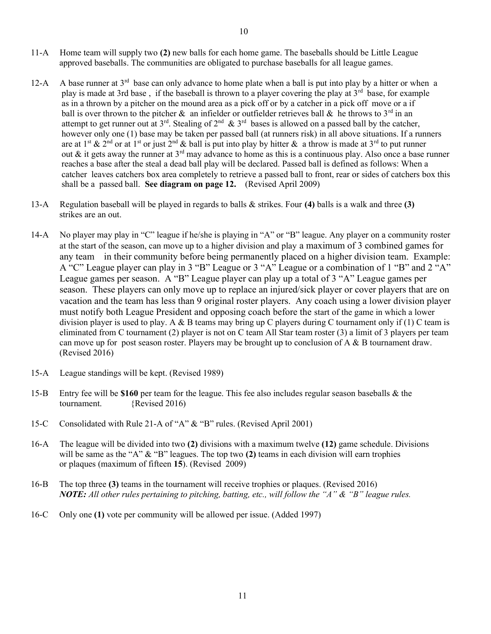- 11-A Home team will supply two (2) new balls for each home game. The baseballs should be Little League approved baseballs. The communities are obligated to purchase baseballs for all league games.
- 12-A A base runner at  $3<sup>rd</sup>$  base can only advance to home plate when a ball is put into play by a hitter or when a play is made at 3rd base , if the baseball is thrown to a player covering the play at 3rd base, for example as in a thrown by a pitcher on the mound area as a pick off or by a catcher in a pick off move or a if ball is over thrown to the pitcher & an infielder or outfielder retrieves ball & he throws to  $3<sup>rd</sup>$  in an attempt to get runner out at  $3^{rd}$ . Stealing of  $2^{nd}$  &  $3^{rd}$  bases is allowed on a passed ball by the catcher, however only one (1) base may be taken per passed ball (at runners risk) in all above situations. If a runners are at 1<sup>st</sup> & 2<sup>nd</sup> or at 1<sup>st</sup> or just 2<sup>nd</sup> & ball is put into play by hitter & a throw is made at 3<sup>rd</sup> to put runner out & it gets away the runner at  $3<sup>rd</sup>$  may advance to home as this is a continuous play. Also once a base runner reaches a base after the steal a dead ball play will be declared. Passed ball is defined as follows: When a catcher leaves catchers box area completely to retrieve a passed ball to front, rear or sides of catchers box this shall be a passed ball. See diagram on page 12. (Revised April 2009)
- 13-A Regulation baseball will be played in regards to balls & strikes. Four (4) balls is a walk and three (3) strikes are an out.
- 14-A No player may play in "C" league if he/she is playing in "A" or "B" league. Any player on a community roster at the start of the season, can move up to a higher division and play a maximum of 3 combined games for any team in their community before being permanently placed on a higher division team. Example: A "C" League player can play in 3 "B" League or 3 "A" League or a combination of 1 "B" and 2 "A" League games per season. A "B" League player can play up a total of 3 "A" League games per season. These players can only move up to replace an injured/sick player or cover players that are on vacation and the team has less than 9 original roster players. Any coach using a lower division player must notify both League President and opposing coach before the start of the game in which a lower division player is used to play. A & B teams may bring up C players during C tournament only if (1) C team is eliminated from C tournament (2) player is not on C team All Star team roster (3) a limit of 3 players per team can move up for post season roster. Players may be brought up to conclusion of A & B tournament draw. (Revised 2016)
- 15-A League standings will be kept. (Revised 1989)
- 15-B Entry fee will be \$160 per team for the league. This fee also includes regular season baseballs  $\&$  the tournament. {Revised 2016)
- 15-C Consolidated with Rule 21-A of "A" & "B" rules. (Revised April 2001)
- 16-A The league will be divided into two (2) divisions with a maximum twelve (12) game schedule. Divisions will be same as the "A"  $\&$  "B" leagues. The top two (2) teams in each division will earn trophies or plaques (maximum of fifteen 15). (Revised 2009)
- 16-B The top three (3) teams in the tournament will receive trophies or plaques. (Revised 2016) **NOTE:** All other rules pertaining to pitching, batting, etc., will follow the "A"  $\&$  "B" league rules.
- 16-C Only one (1) vote per community will be allowed per issue. (Added 1997)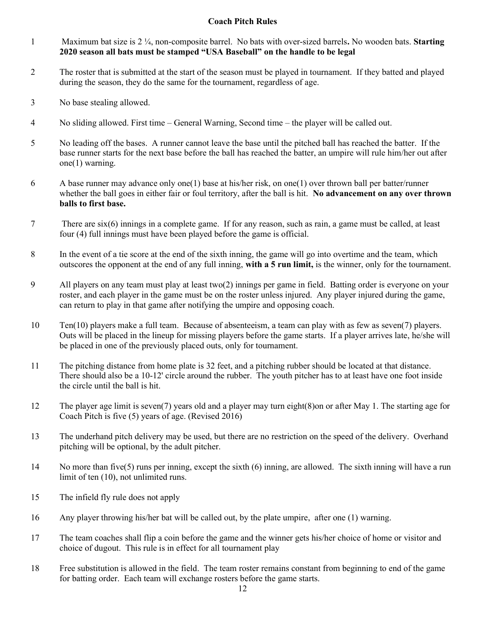# Coach Pitch Rules

- 1 Maximum bat size is  $2\frac{1}{4}$ , non-composite barrel. No bats with over-sized barrels. No wooden bats. Starting 2020 season all bats must be stamped "USA Baseball" on the handle to be legal
- 2 The roster that is submitted at the start of the season must be played in tournament. If they batted and played during the season, they do the same for the tournament, regardless of age.
- 3 No base stealing allowed.
- 4 No sliding allowed. First time General Warning, Second time the player will be called out.
- 5 No leading off the bases. A runner cannot leave the base until the pitched ball has reached the batter. If the base runner starts for the next base before the ball has reached the batter, an umpire will rule him/her out after one(1) warning.
- 6 A base runner may advance only one(1) base at his/her risk, on one(1) over thrown ball per batter/runner whether the ball goes in either fair or foul territory, after the ball is hit. No advancement on any over thrown balls to first base.
- 7 There are six(6) innings in a complete game. If for any reason, such as rain, a game must be called, at least four (4) full innings must have been played before the game is official.
- 8 In the event of a tie score at the end of the sixth inning, the game will go into overtime and the team, which outscores the opponent at the end of any full inning, with a 5 run limit, is the winner, only for the tournament.
- 9 All players on any team must play at least two(2) innings per game in field. Batting order is everyone on your roster, and each player in the game must be on the roster unless injured. Any player injured during the game, can return to play in that game after notifying the umpire and opposing coach.
- 10 Ten(10) players make a full team. Because of absenteeism, a team can play with as few as seven(7) players. Outs will be placed in the lineup for missing players before the game starts. If a player arrives late, he/she will be placed in one of the previously placed outs, only for tournament.
- 11 The pitching distance from home plate is 32 feet, and a pitching rubber should be located at that distance. There should also be a 10-12' circle around the rubber. The youth pitcher has to at least have one foot inside the circle until the ball is hit.
- 12 The player age limit is seven(7) years old and a player may turn eight(8)on or after May 1. The starting age for Coach Pitch is five (5) years of age. (Revised 2016)
- 13 The underhand pitch delivery may be used, but there are no restriction on the speed of the delivery. Overhand pitching will be optional, by the adult pitcher.
- 14 No more than five(5) runs per inning, except the sixth (6) inning, are allowed. The sixth inning will have a run limit of ten (10), not unlimited runs.
- 15 The infield fly rule does not apply
- 16 Any player throwing his/her bat will be called out, by the plate umpire, after one (1) warning.
- 17 The team coaches shall flip a coin before the game and the winner gets his/her choice of home or visitor and choice of dugout. This rule is in effect for all tournament play
- 18 Free substitution is allowed in the field. The team roster remains constant from beginning to end of the game for batting order. Each team will exchange rosters before the game starts.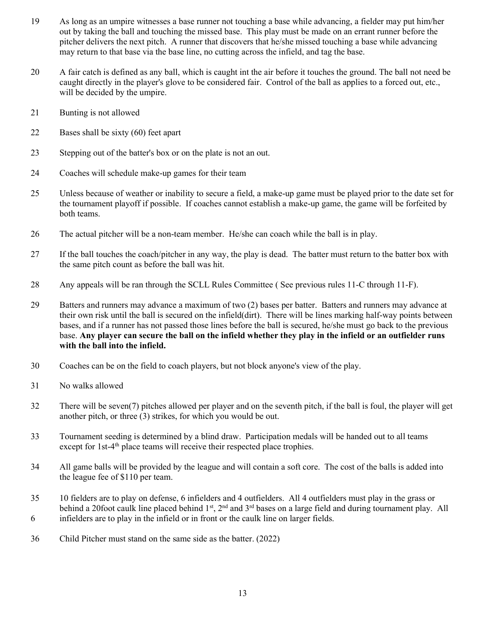- 19 As long as an umpire witnesses a base runner not touching a base while advancing, a fielder may put him/her out by taking the ball and touching the missed base. This play must be made on an errant runner before the pitcher delivers the next pitch. A runner that discovers that he/she missed touching a base while advancing may return to that base via the base line, no cutting across the infield, and tag the base.
- 20 A fair catch is defined as any ball, which is caught int the air before it touches the ground. The ball not need be caught directly in the player's glove to be considered fair. Control of the ball as applies to a forced out, etc., will be decided by the umpire.
- 21 Bunting is not allowed
- 22 Bases shall be sixty (60) feet apart
- 23 Stepping out of the batter's box or on the plate is not an out.
- 24 Coaches will schedule make-up games for their team
- 25 Unless because of weather or inability to secure a field, a make-up game must be played prior to the date set for the tournament playoff if possible. If coaches cannot establish a make-up game, the game will be forfeited by both teams.
- 26 The actual pitcher will be a non-team member. He/she can coach while the ball is in play.
- 27 If the ball touches the coach/pitcher in any way, the play is dead. The batter must return to the batter box with the same pitch count as before the ball was hit.
- 28 Any appeals will be ran through the SCLL Rules Committee ( See previous rules 11-C through 11-F).
- 29 Batters and runners may advance a maximum of two (2) bases per batter. Batters and runners may advance at their own risk until the ball is secured on the infield(dirt). There will be lines marking half-way points between bases, and if a runner has not passed those lines before the ball is secured, he/she must go back to the previous base. Any player can secure the ball on the infield whether they play in the infield or an outfielder runs with the ball into the infield.
- 30 Coaches can be on the field to coach players, but not block anyone's view of the play.
- 31 No walks allowed
- 32 There will be seven(7) pitches allowed per player and on the seventh pitch, if the ball is foul, the player will get another pitch, or three (3) strikes, for which you would be out.
- 33 Tournament seeding is determined by a blind draw. Participation medals will be handed out to all teams except for  $1st-4<sup>th</sup>$  place teams will receive their respected place trophies.
- 34 All game balls will be provided by the league and will contain a soft core. The cost of the balls is added into the league fee of \$110 per team.
- 35 10 fielders are to play on defense, 6 infielders and 4 outfielders. All 4 outfielders must play in the grass or behind a 20foot caulk line placed behind  $1<sup>st</sup>$ ,  $2<sup>nd</sup>$  and  $3<sup>rd</sup>$  bases on a large field and during tournament play. All 6 infielders are to play in the infield or in front or the caulk line on larger fields.
- 36 Child Pitcher must stand on the same side as the batter. (2022)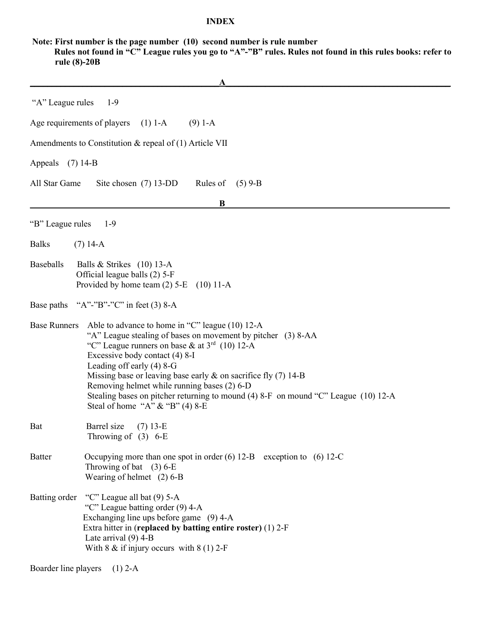## INDEX

 Note: First number is the page number (10) second number is rule number Rules not found in "C" League rules you go to "A"-"B" rules. Rules not found in this rules books: refer to rule (8)-20B

|                     | A                                                                                                                                                                                                                                                                                                                                                                                                                                                                                |
|---------------------|----------------------------------------------------------------------------------------------------------------------------------------------------------------------------------------------------------------------------------------------------------------------------------------------------------------------------------------------------------------------------------------------------------------------------------------------------------------------------------|
| "A" League rules    | $1-9$                                                                                                                                                                                                                                                                                                                                                                                                                                                                            |
|                     | Age requirements of players<br>$(1) 1-A$<br>$(9)$ 1-A                                                                                                                                                                                                                                                                                                                                                                                                                            |
|                     | Amendments to Constitution $\&$ repeal of (1) Article VII                                                                                                                                                                                                                                                                                                                                                                                                                        |
| Appeals (7) 14-B    |                                                                                                                                                                                                                                                                                                                                                                                                                                                                                  |
| All Star Game       | Site chosen (7) 13-DD<br>Rules of<br>$(5)$ 9-B                                                                                                                                                                                                                                                                                                                                                                                                                                   |
|                     | B                                                                                                                                                                                                                                                                                                                                                                                                                                                                                |
| "B" League rules    | $1-9$                                                                                                                                                                                                                                                                                                                                                                                                                                                                            |
| <b>Balks</b>        | $(7)$ 14-A                                                                                                                                                                                                                                                                                                                                                                                                                                                                       |
| Baseballs           | Balls & Strikes $(10)$ 13-A<br>Official league balls (2) 5-F<br>Provided by home team $(2)$ 5-E $(10)$ 11-A                                                                                                                                                                                                                                                                                                                                                                      |
|                     | Base paths "A"-"B"-"C" in feet (3) 8-A                                                                                                                                                                                                                                                                                                                                                                                                                                           |
| <b>Base Runners</b> | Able to advance to home in "C" league (10) 12-A<br>"A" League stealing of bases on movement by pitcher (3) 8-AA<br>"C" League runners on base & at $3rd$ (10) 12-A<br>Excessive body contact (4) 8-I<br>Leading off early $(4)$ 8-G<br>Missing base or leaving base early $\&$ on sacrifice fly (7) 14-B<br>Removing helmet while running bases (2) 6-D<br>Stealing bases on pitcher returning to mound (4) 8-F on mound "C" League (10) 12-A<br>Steal of home "A" & "B" (4) 8-E |
| Bat                 | Barrel size<br>$(7)$ 13-E<br>Throwing of $(3)$ 6-E                                                                                                                                                                                                                                                                                                                                                                                                                               |
| <b>Batter</b>       | Occupying more than one spot in order $(6)$ 12-B exception to $(6)$ 12-C<br>Throwing of bat $(3)$ 6-E<br>Wearing of helmet $(2)$ 6-B                                                                                                                                                                                                                                                                                                                                             |
| Batting order       | "C" League all bat (9) 5-A<br>"C" League batting order (9) 4-A<br>Exchanging line ups before game (9) 4-A<br>Extra hitter in (replaced by batting entire roster) (1) 2-F<br>Late arrival $(9)$ 4-B<br>With $8 \& \text{ if injury occurs with } 8(1) 2 - F$                                                                                                                                                                                                                      |

Boarder line players (1) 2-A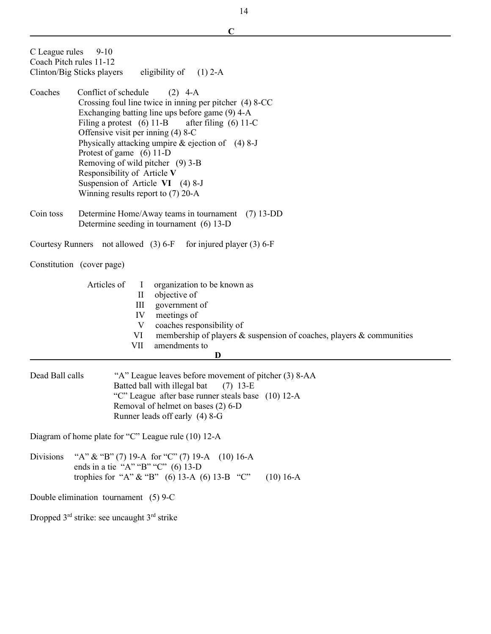|                  | C                                                                                                          |  |  |
|------------------|------------------------------------------------------------------------------------------------------------|--|--|
| C League rules   | $9-10$                                                                                                     |  |  |
|                  | Coach Pitch rules 11-12<br>Clinton/Big Sticks players<br>eligibility of $(1)$ 2-A                          |  |  |
|                  |                                                                                                            |  |  |
| Coaches          | Conflict of schedule<br>$(2)$ 4-A                                                                          |  |  |
|                  | Crossing foul line twice in inning per pitcher (4) 8-CC<br>Exchanging batting line ups before game (9) 4-A |  |  |
|                  | Filing a protest $(6)$ 11-B<br>after filing $(6)$ 11-C                                                     |  |  |
|                  | Offensive visit per inning (4) 8-C                                                                         |  |  |
|                  | Physically attacking umpire $&$ ejection of (4) 8-J<br>Protest of game (6) 11-D                            |  |  |
|                  | Removing of wild pitcher (9) 3-B                                                                           |  |  |
|                  | Responsibility of Article V                                                                                |  |  |
|                  | Suspension of Article VI $(4)$ 8-J<br>Winning results report to $(7)$ 20-A                                 |  |  |
|                  |                                                                                                            |  |  |
| Coin toss        | Determine Home/Away teams in tournament (7) 13-DD                                                          |  |  |
|                  | Determine seeding in tournament (6) 13-D                                                                   |  |  |
|                  | Courtesy Runners not allowed (3) 6-F for injured player (3) 6-F                                            |  |  |
|                  | Constitution (cover page)                                                                                  |  |  |
|                  | Articles of<br>organization to be known as<br>$\perp$                                                      |  |  |
|                  | objective of<br>$\rm{II}$                                                                                  |  |  |
|                  | III<br>government of<br>IV<br>meetings of                                                                  |  |  |
|                  | $\mathbf V$<br>coaches responsibility of                                                                   |  |  |
|                  | VI<br>membership of players & suspension of coaches, players & communities                                 |  |  |
|                  | VII<br>amendments to<br>D                                                                                  |  |  |
| Dead Ball calls  | "A" League leaves before movement of pitcher (3) 8-AA                                                      |  |  |
|                  | Batted ball with illegal bat (7) 13-E                                                                      |  |  |
|                  | "C" League after base runner steals base (10) 12-A<br>Removal of helmet on bases (2) 6-D                   |  |  |
|                  | Runner leads off early (4) 8-G                                                                             |  |  |
|                  | Diagram of home plate for "C" League rule (10) 12-A                                                        |  |  |
| <b>Divisions</b> | "A" & "B" (7) 19-A for "C" (7) 19-A (10) 16-A                                                              |  |  |
|                  | ends in a tie "A" "B" "C" $(6)$ 13-D<br>trophies for "A" & "B" (6) 13-A (6) 13-B "C"<br>$(10)$ 16-A        |  |  |
|                  | Double elimination tournament (5) 9-C                                                                      |  |  |
|                  |                                                                                                            |  |  |
|                  | Dropped $3^{rd}$ strike: see uncaught $3^{rd}$ strike                                                      |  |  |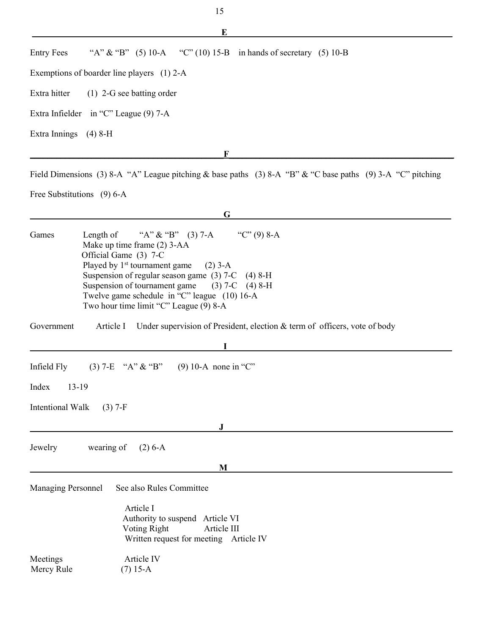$\mathbf{E}$  and the contract of the contract of the contract of the contract of the contract of the contract of the contract of the contract of the contract of the contract of the contract of the contract of the contract of Entry Fees "A"  $\&$  "B" (5) 10-A "C" (10) 15-B in hands of secretary (5) 10-B Exemptions of boarder line players (1) 2-A Extra hitter (1) 2-G see batting order Extra Infielder in "C" League (9) 7-A Extra Innings (4) 8-H  $\bf{F}$ 

Field Dimensions (3) 8-A "A" League pitching & base paths (3) 8-A "B" & "C base paths (9) 3-A "C" pitching

Free Substitutions (9) 6-A

|                                      | G                                                                                                                                                                                                                                                                                                                                                                         |
|--------------------------------------|---------------------------------------------------------------------------------------------------------------------------------------------------------------------------------------------------------------------------------------------------------------------------------------------------------------------------------------------------------------------------|
| Games                                | "A" & "B" (3) 7-A<br>"C" $(9)$ 8-A<br>Length of<br>Make up time frame (2) 3-AA<br>Official Game (3) 7-C<br>Played by 1 <sup>st</sup> tournament game<br>$(2)$ 3-A<br>Suspension of regular season game $(3)$ 7-C $(4)$ 8-H<br>Suspension of tournament game $(3)$ 7-C $(4)$ 8-H<br>Twelve game schedule in "C" league (10) 16-A<br>Two hour time limit "C" League (9) 8-A |
| Government                           | Article I Under supervision of President, election & term of officers, vote of body                                                                                                                                                                                                                                                                                       |
|                                      |                                                                                                                                                                                                                                                                                                                                                                           |
| Index<br>Intentional Walk<br>Jewelry | $13-19$<br>$(3)$ 7-F<br>$\mathbf{J}$<br>wearing of<br>$(2) 6-A$                                                                                                                                                                                                                                                                                                           |
|                                      | M                                                                                                                                                                                                                                                                                                                                                                         |
| <b>Managing Personnel</b>            | See also Rules Committee<br>Article I<br>Authority to suspend Article VI<br>Voting Right<br>Article III<br>Written request for meeting Article IV                                                                                                                                                                                                                         |
| Meetings<br>Mercy Rule               | Article IV<br>$(7)$ 15-A                                                                                                                                                                                                                                                                                                                                                  |
|                                      |                                                                                                                                                                                                                                                                                                                                                                           |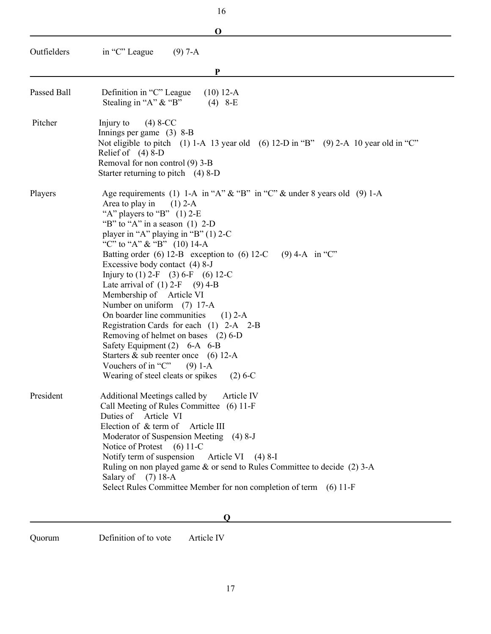| 16          |                                                                                                                                                                                                                                                                                                                                                                                                                                                                                                                                                                                                                                                                                                                                                                                                         |
|-------------|---------------------------------------------------------------------------------------------------------------------------------------------------------------------------------------------------------------------------------------------------------------------------------------------------------------------------------------------------------------------------------------------------------------------------------------------------------------------------------------------------------------------------------------------------------------------------------------------------------------------------------------------------------------------------------------------------------------------------------------------------------------------------------------------------------|
|             | $\mathbf 0$                                                                                                                                                                                                                                                                                                                                                                                                                                                                                                                                                                                                                                                                                                                                                                                             |
| Outfielders | in "C" League<br>$(9)$ 7-A                                                                                                                                                                                                                                                                                                                                                                                                                                                                                                                                                                                                                                                                                                                                                                              |
|             | P                                                                                                                                                                                                                                                                                                                                                                                                                                                                                                                                                                                                                                                                                                                                                                                                       |
| Passed Ball | Definition in "C" League<br>$(10)$ 12-A<br>Stealing in "A" & "B"<br>$(4)$ 8-E                                                                                                                                                                                                                                                                                                                                                                                                                                                                                                                                                                                                                                                                                                                           |
| Pitcher     | $(4) 8-CC$<br>Injury to<br>Innings per game $(3)$ 8-B<br>Not eligible to pitch (1) 1-A 13 year old (6) 12-D in "B" (9) 2-A 10 year old in "C"<br>Relief of $(4)$ 8-D<br>Removal for non control (9) 3-B<br>Starter returning to pitch $(4)$ 8-D                                                                                                                                                                                                                                                                                                                                                                                                                                                                                                                                                         |
| Players     | Age requirements (1) 1-A in "A" $\&$ "B" in "C" $\&$ under 8 years old (9) 1-A<br>Area to play in<br>$(1)$ 2-A<br>"A" players to "B" $(1)$ 2-E<br>"B" to "A" in a season $(1)$ 2-D<br>player in "A" playing in "B" $(1)$ 2-C<br>"C" to "A" & "B" $(10)$ 14-A<br>Batting order (6) 12-B exception to (6) 12-C<br>$(9)$ 4-A in "C"<br>Excessive body contact (4) 8-J<br>Injury to (1) 2-F (3) 6-F (6) 12-C<br>Late arrival of $(1)$ 2-F $(9)$ 4-B<br>Membership of Article VI<br>Number on uniform (7) 17-A<br>On boarder line communities<br>$(1)$ 2-A<br>Registration Cards for each (1) 2-A 2-B<br>Removing of helmet on bases (2) 6-D<br>Safety Equipment (2) 6-A 6-B<br>Starters $\&$ sub reenter once (6) 12-A<br>Vouchers of in "C"<br>$(9)$ 1-A<br>Wearing of steel cleats or spikes<br>$(2) 6-C$ |
| President   | Additional Meetings called by<br>Article IV<br>Call Meeting of Rules Committee (6) 11-F<br>Duties of Article VI<br>Election of $\&$ term of<br>Article III<br>Moderator of Suspension Meeting (4) 8-J<br>Notice of Protest (6) 11-C<br>Notify term of suspension<br>Article VI $(4)$ 8-I<br>Ruling on non played game & or send to Rules Committee to decide (2) 3-A<br>Salary of (7) 18-A<br>Select Rules Committee Member for non completion of term (6) 11-F                                                                                                                                                                                                                                                                                                                                         |

#### $Q$

Quorum Definition of to vote Article IV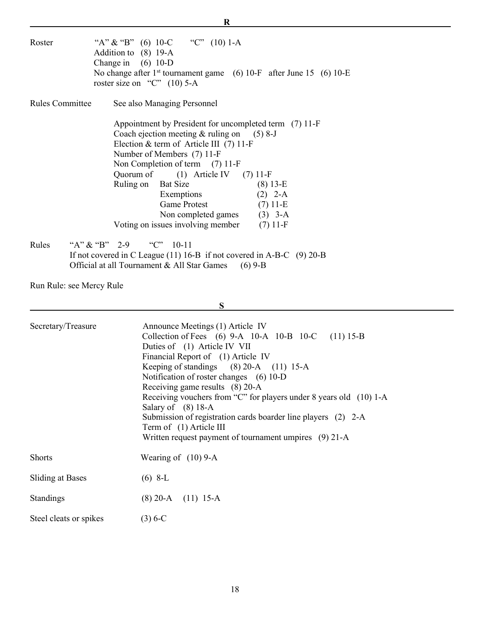| Roster          | "A" & "B" (6) $10\text{-}C$ "C" (10) $1\text{-}A$<br>Addition to (8) 19-A<br>Change in $(6)$ 10-D<br>No change after $1st$ tournament game (6) 10-F after June 15 (6) 10-E<br>roster size on "C" $(10)$ 5-A                                                                                                                                                                                                                           |
|-----------------|---------------------------------------------------------------------------------------------------------------------------------------------------------------------------------------------------------------------------------------------------------------------------------------------------------------------------------------------------------------------------------------------------------------------------------------|
| Rules Committee | See also Managing Personnel                                                                                                                                                                                                                                                                                                                                                                                                           |
|                 | Appointment by President for uncompleted term (7) 11-F<br>Coach ejection meeting $&$ ruling on (5) 8-J<br>Election & term of Article III (7) 11-F<br>Number of Members (7) 11-F<br>Non Completion of term (7) 11-F<br>Quorum of $(1)$ Article IV $(7)$ 11-F<br>$(8)$ 13-E<br>Ruling on Bat Size<br>Exemptions<br>$(2)$ 2-A<br>Game Protest (7) 11-E<br>Non completed games (3) 3-A<br>Voting on issues involving member<br>$(7)$ 11-F |

 Rules "A" & "B" 2-9 "C" 10-11 If not covered in C League (11) 16-B if not covered in A-B-C (9) 20-B Official at all Tournament  $&$  All Star Games (6) 9-B

Run Rule: see Mercy Rule

 $S$ 

 $R$ 

| Secretary/Treasure      | Announce Meetings (1) Article IV<br>Collection of Fees (6) 9-A 10-A 10-B 10-C (11) 15-B<br>Duties of (1) Article IV VII<br>Financial Report of (1) Article IV<br>Keeping of standings (8) 20-A (11) 15-A<br>Notification of roster changes (6) 10-D<br>Receiving game results (8) 20-A<br>Receiving vouchers from "C" for players under 8 years old (10) 1-A<br>Salary of $(8)$ 18-A<br>Submission of registration cards boarder line players (2) 2-A<br>Term of (1) Article III<br>Written request payment of tournament umpires (9) 21-A |
|-------------------------|--------------------------------------------------------------------------------------------------------------------------------------------------------------------------------------------------------------------------------------------------------------------------------------------------------------------------------------------------------------------------------------------------------------------------------------------------------------------------------------------------------------------------------------------|
| <b>Shorts</b>           | Wearing of $(10)$ 9-A                                                                                                                                                                                                                                                                                                                                                                                                                                                                                                                      |
| <b>Sliding at Bases</b> | $(6)$ 8-L                                                                                                                                                                                                                                                                                                                                                                                                                                                                                                                                  |
| Standings               | $(8)$ 20-A $(11)$ 15-A                                                                                                                                                                                                                                                                                                                                                                                                                                                                                                                     |
| Steel cleats or spikes  | $(3) 6 - C$                                                                                                                                                                                                                                                                                                                                                                                                                                                                                                                                |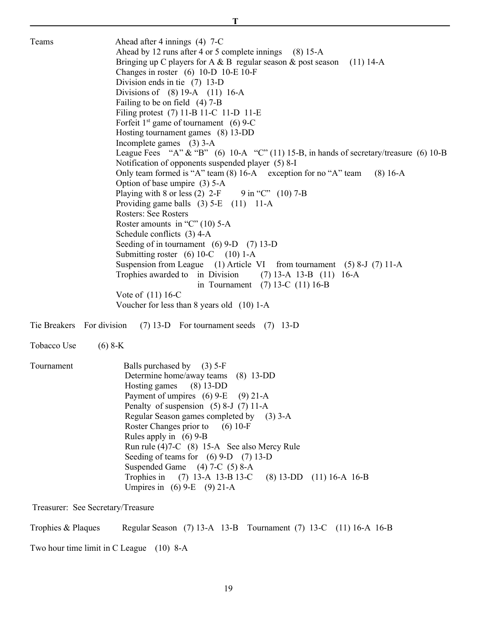| Teams                             | Ahead after 4 innings (4) 7-C<br>Ahead by 12 runs after 4 or 5 complete innings (8) 15-A<br>Bringing up C players for A & B regular season & post season<br>$(11)$ 14-A<br>Changes in roster $(6)$ 10-D 10-E 10-F<br>Division ends in tie $(7)$ 13-D<br>Divisions of $(8)$ 19-A $(11)$ 16-A<br>Failing to be on field (4) 7-B<br>Filing protest (7) 11-B 11-C 11-D 11-E<br>Forfeit $1st$ game of tournament (6) 9-C<br>Hosting tournament games (8) 13-DD<br>Incomplete games (3) 3-A<br>League Fees "A" & "B" (6) $10-A$ "C" (11) 15-B, in hands of secretary/treasure (6) 10-B<br>Notification of opponents suspended player (5) 8-I<br>Only team formed is "A" team (8) 16-A exception for no "A" team<br>$(8) 16-A$<br>Option of base umpire (3) 5-A<br>Playing with 8 or less (2) $2-F$ 9 in "C" (10) 7-B<br>Providing game balls $(3)$ 5-E $(11)$ 11-A<br><b>Rosters: See Rosters</b><br>Roster amounts in "C" $(10)$ 5-A<br>Schedule conflicts (3) 4-A<br>Seeding of in tournament $(6)$ 9-D $(7)$ 13-D<br>Submitting roster $(6) 10$ -C $(10) 1$ -A<br>Suspension from League (1) Article VI from tournament (5) 8-J (7) 11-A<br>Trophies awarded to in Division<br>$(7)$ 13-A 13-B $(11)$ 16-A<br>in Tournament $(7)$ 13-C $(11)$ 16-B<br>Vote of $(11)$ 16-C |  |  |
|-----------------------------------|------------------------------------------------------------------------------------------------------------------------------------------------------------------------------------------------------------------------------------------------------------------------------------------------------------------------------------------------------------------------------------------------------------------------------------------------------------------------------------------------------------------------------------------------------------------------------------------------------------------------------------------------------------------------------------------------------------------------------------------------------------------------------------------------------------------------------------------------------------------------------------------------------------------------------------------------------------------------------------------------------------------------------------------------------------------------------------------------------------------------------------------------------------------------------------------------------------------------------------------------------------------------|--|--|
| Tie Breakers For division         | Voucher for less than 8 years old (10) 1-A<br>$(7)$ 13-D For tournament seeds $(7)$ 13-D                                                                                                                                                                                                                                                                                                                                                                                                                                                                                                                                                                                                                                                                                                                                                                                                                                                                                                                                                                                                                                                                                                                                                                               |  |  |
| Tobacco Use                       | $(6)$ 8-K                                                                                                                                                                                                                                                                                                                                                                                                                                                                                                                                                                                                                                                                                                                                                                                                                                                                                                                                                                                                                                                                                                                                                                                                                                                              |  |  |
| Tournament                        | Balls purchased by (3) 5-F<br>Determine home/away teams (8) 13-DD<br>$(8)$ 13-DD<br>Hosting games<br>Payment of umpires $(6)$ 9-E $(9)$ 21-A<br>Penalty of suspension $(5)$ 8-J $(7)$ 11-A<br>Regular Season games completed by (3) 3-A<br>Roster Changes prior to<br>$(6)$ 10-F<br>Rules apply in $(6)$ 9-B<br>Run rule (4)7-C (8) 15-A See also Mercy Rule<br>Seeding of teams for $(6)$ 9-D $(7)$ 13-D<br>Suspended Game (4) 7-C (5) 8-A<br>Trophies in $(7)$ 13-A 13-B 13-C<br>$(8)$ 13-DD $(11)$ 16-A 16-B<br>Umpires in (6) 9-E (9) 21-A                                                                                                                                                                                                                                                                                                                                                                                                                                                                                                                                                                                                                                                                                                                         |  |  |
| Treasurer: See Secretary/Treasure |                                                                                                                                                                                                                                                                                                                                                                                                                                                                                                                                                                                                                                                                                                                                                                                                                                                                                                                                                                                                                                                                                                                                                                                                                                                                        |  |  |
| Trophies & Plaques                | Regular Season (7) 13-A 13-B Tournament (7) 13-C (11) 16-A 16-B                                                                                                                                                                                                                                                                                                                                                                                                                                                                                                                                                                                                                                                                                                                                                                                                                                                                                                                                                                                                                                                                                                                                                                                                        |  |  |
|                                   | Two hour time limit in C League (10) 8-A                                                                                                                                                                                                                                                                                                                                                                                                                                                                                                                                                                                                                                                                                                                                                                                                                                                                                                                                                                                                                                                                                                                                                                                                                               |  |  |

19